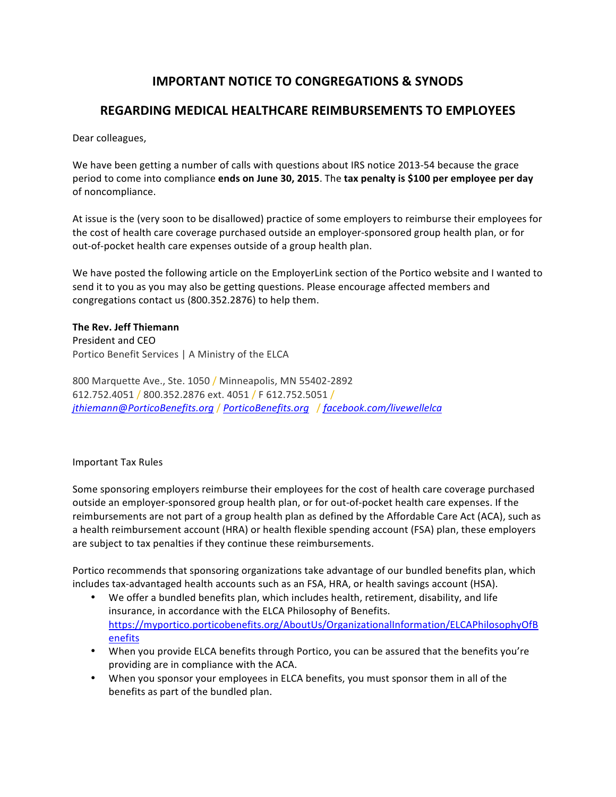# **IMPORTANT NOTICE TO CONGREGATIONS & SYNODS**

## **REGARDING MEDICAL HEALTHCARE REIMBURSEMENTS TO EMPLOYEES**

Dear colleagues,

We have been getting a number of calls with questions about IRS notice 2013-54 because the grace period to come into compliance ends on June 30, 2015. The tax penalty is \$100 per employee per day of noncompliance.

At issue is the (very soon to be disallowed) practice of some employers to reimburse their employees for the cost of health care coverage purchased outside an employer-sponsored group health plan, or for out-of-pocket health care expenses outside of a group health plan.

We have posted the following article on the EmployerLink section of the Portico website and I wanted to send it to you as you may also be getting questions. Please encourage affected members and congregations contact us (800.352.2876) to help them.

### **The Rev. Jeff Thiemann** President and CEO

Portico Benefit Services | A Ministry of the ELCA

800 Marquette Ave., Ste. 1050 / Minneapolis, MN 55402-2892 612.752.4051 / 800.352.2876 ext. 4051 / F 612.752.5051 / *jthiemann*@*PorticoBenefits.org* / *PorticoBenefits.org*  / *facebook.com/livewellelca*

#### Important Tax Rules

Some sponsoring employers reimburse their employees for the cost of health care coverage purchased outside an employer-sponsored group health plan, or for out-of-pocket health care expenses. If the reimbursements are not part of a group health plan as defined by the Affordable Care Act (ACA), such as a health reimbursement account (HRA) or health flexible spending account (FSA) plan, these employers are subject to tax penalties if they continue these reimbursements.

Portico recommends that sponsoring organizations take advantage of our bundled benefits plan, which includes tax-advantaged health accounts such as an FSA, HRA, or health savings account (HSA).

- We offer a bundled benefits plan, which includes health, retirement, disability, and life insurance, in accordance with the ELCA Philosophy of Benefits. https://myportico.porticobenefits.org/AboutUs/OrganizationalInformation/ELCAPhilosophyOfB enefits
- When you provide ELCA benefits through Portico, you can be assured that the benefits you're providing are in compliance with the ACA.
- When you sponsor your employees in ELCA benefits, you must sponsor them in all of the benefits as part of the bundled plan.